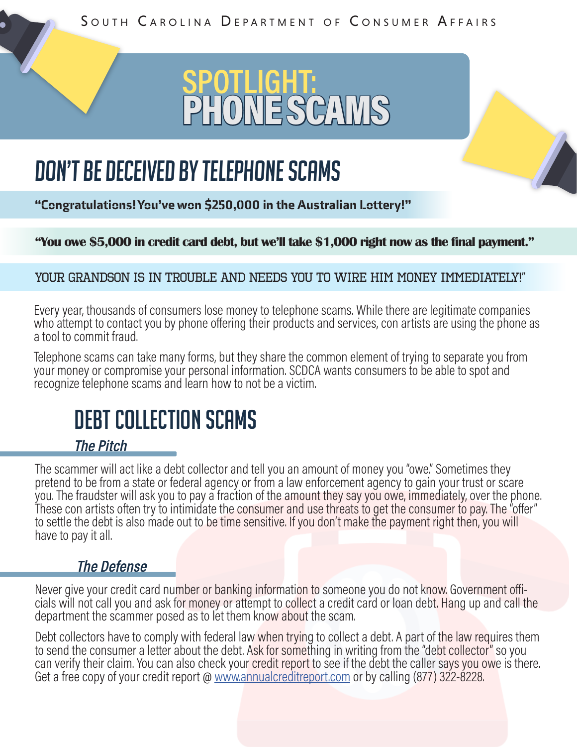SOUTH CAROLINA DEPARTMENT OF CONSUMER AFFAIRS

# **SPOTLIGHT:** PHONE SCAMS

# Don't be deceived by telephone scams

"Congratulations! You've won \$250,000 in the Australian Lottery!"

**"You owe \$5,000 in credit card debt, but we'll take \$1,000 right now as the final payment."**

#### Your grandson is in trouble and needs you to wire him money immediately!"

Every year, thousands of consumers lose money to telephone scams. While there are legitimate companies who attempt to contact you by phone offering their products and services, con artists are using the phone as a tool to commit fraud.

Telephone scams can take many forms, but they share the common element of trying to separate you from your money or compromise your personal information. SCDCA wants consumers to be able to spot and recognize telephone scams and learn how to not be a victim.

# DEBT COLLECTION SCAMS

### **The Pitch**

The scammer will act like a debt collector and tell you an amount of money you "owe." Sometimes they pretend to be from a state or federal agency or from a law enforcement agency to gain your trust or scare you. The fraudster will ask you to pay a fraction of the amount they say you owe, immediately, over the phone. These con artists often try to intimidate the consumer and use threats to get the consumer to pay. The "offer" to settle the debt is also made out to be time sensitive. If you don't make the payment right then, you will have to pay it all.

#### **The Defense**

Never give your credit card number or banking information to someone you do not know. Government offi-<br>cials will not call you and ask for money or attempt to collect a credit card or loan debt. Hang up and call the department the scammer posed as to let them know about the scam.

Debt collectors have to comply with federal law when trying to collect a debt. A part of the law requires them to send the consumer a letter about the debt. Ask for something in writing from the "debt collector" so you can verify their claim. You can also check your credit report to see if the debt the caller says you owe is there. Get a free copy of your credit report @ [www.annualcreditreport.com](http://www.annualcreditreport.com) or by calling (877) 322-8228.